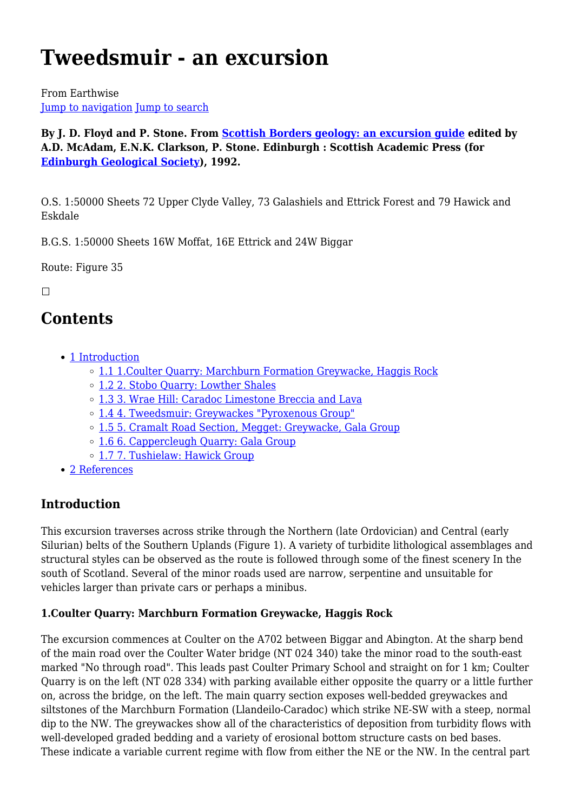# **Tweedsmuir - an excursion**

From Earthwise [Jump to navigation](#page--1-0) [Jump to search](#page--1-0)

**By J. D. Floyd and P. Stone. From [Scottish Borders geology: an excursion guide](http://earthwise.bgs.ac.uk/index.php/Scottish_Borders_geology:_an_excursion_guide) edited by A.D. McAdam, E.N.K. Clarkson, P. Stone. Edinburgh : Scottish Academic Press (for [Edinburgh Geological Society](http://www.edinburghgeolsoc.org/)), 1992.**

O.S. 1:50000 Sheets 72 Upper Clyde Valley, 73 Galashiels and Ettrick Forest and 79 Hawick and Eskdale

B.G.S. 1:50000 Sheets 16W Moffat, 16E Ettrick and 24W Biggar

Route: Figure 35

 $\Box$ 

# **Contents**

- [1](#page--1-0) [Introduction](#page--1-0)
	- o [1.1](#1.Coulter_Quarry:_Marchburn_Formation_Greywacke.2C_Haggis_Rock) 1. Coulter Quarry: Marchburn Formation Greywacke, Haggis Rock
	- [1.2](#2._Stobo_Quarry:_Lowther_Shales) [2. Stobo Quarry: Lowther Shales](#2._Stobo_Quarry:_Lowther_Shales)
	- [1.3](#3._Wrae_Hill:_Caradoc_Limestone_Breccia_and_Lava) [3. Wrae Hill: Caradoc Limestone Breccia and Lava](#3._Wrae_Hill:_Caradoc_Limestone_Breccia_and_Lava)
	- [1.4](#4._Tweedsmuir:_Greywackes_.22Pyroxenous_Group.22) [4. Tweedsmuir: Greywackes "Pyroxenous Group"](#4._Tweedsmuir:_Greywackes_.22Pyroxenous_Group.22)
	- [1.5](#5._Cramalt_Road_Section.2C_Megget:_Greywacke.2C_Gala_Group) [5. Cramalt Road Section, Megget: Greywacke, Gala Group](#5._Cramalt_Road_Section.2C_Megget:_Greywacke.2C_Gala_Group)
	- [1.6](#6._Cappercleugh_Quarry:_Gala_Group) [6. Cappercleugh Quarry: Gala Group](#6._Cappercleugh_Quarry:_Gala_Group)
	- [1.7](#7._Tushielaw:_Hawick_Group) [7. Tushielaw: Hawick Group](#7._Tushielaw:_Hawick_Group)
- [2](#page--1-0) [References](#page--1-0)

# **Introduction**

This excursion traverses across strike through the Northern (late Ordovician) and Central (early Silurian) belts of the Southern Uplands (Figure 1). A variety of turbidite lithological assemblages and structural styles can be observed as the route is followed through some of the finest scenery In the south of Scotland. Several of the minor roads used are narrow, serpentine and unsuitable for vehicles larger than private cars or perhaps a minibus.

#### **1.Coulter Quarry: Marchburn Formation Greywacke, Haggis Rock**

The excursion commences at Coulter on the A702 between Biggar and Abington. At the sharp bend of the main road over the Coulter Water bridge (NT 024 340) take the minor road to the south-east marked "No through road". This leads past Coulter Primary School and straight on for 1 km; Coulter Quarry is on the left (NT 028 334) with parking available either opposite the quarry or a little further on, across the bridge, on the left. The main quarry section exposes well-bedded greywackes and siltstones of the Marchburn Formation (Llandeilo-Caradoc) which strike NE-SW with a steep, normal dip to the NW. The greywackes show all of the characteristics of deposition from turbidity flows with well-developed graded bedding and a variety of erosional bottom structure casts on bed bases. These indicate a variable current regime with flow from either the NE or the NW. In the central part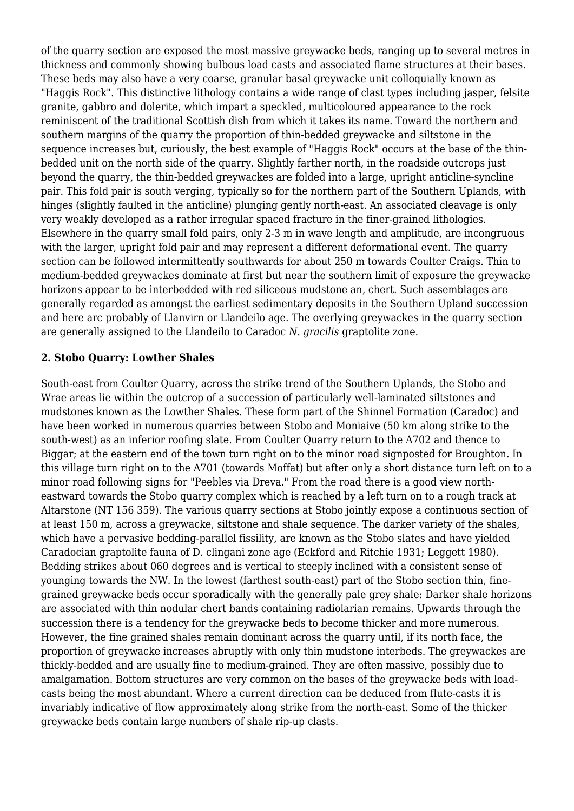of the quarry section are exposed the most massive greywacke beds, ranging up to several metres in thickness and commonly showing bulbous load casts and associated flame structures at their bases. These beds may also have a very coarse, granular basal greywacke unit colloquially known as "Haggis Rock". This distinctive lithology contains a wide range of clast types including jasper, felsite granite, gabbro and dolerite, which impart a speckled, multicoloured appearance to the rock reminiscent of the traditional Scottish dish from which it takes its name. Toward the northern and southern margins of the quarry the proportion of thin-bedded greywacke and siltstone in the sequence increases but, curiously, the best example of "Haggis Rock" occurs at the base of the thinbedded unit on the north side of the quarry. Slightly farther north, in the roadside outcrops just beyond the quarry, the thin-bedded greywackes are folded into a large, upright anticline-syncline pair. This fold pair is south verging, typically so for the northern part of the Southern Uplands, with hinges (slightly faulted in the anticline) plunging gently north-east. An associated cleavage is only very weakly developed as a rather irregular spaced fracture in the finer-grained lithologies. Elsewhere in the quarry small fold pairs, only 2-3 m in wave length and amplitude, are incongruous with the larger, upright fold pair and may represent a different deformational event. The quarry section can be followed intermittently southwards for about 250 m towards Coulter Craigs. Thin to medium-bedded greywackes dominate at first but near the southern limit of exposure the greywacke horizons appear to be interbedded with red siliceous mudstone an, chert. Such assemblages are generally regarded as amongst the earliest sedimentary deposits in the Southern Upland succession and here arc probably of Llanvirn or Llandeilo age. The overlying greywackes in the quarry section are generally assigned to the Llandeilo to Caradoc *N. gracilis* graptolite zone.

#### **2. Stobo Quarry: Lowther Shales**

South-east from Coulter Quarry, across the strike trend of the Southern Uplands, the Stobo and Wrae areas lie within the outcrop of a succession of particularly well-laminated siltstones and mudstones known as the Lowther Shales. These form part of the Shinnel Formation (Caradoc) and have been worked in numerous quarries between Stobo and Moniaive (50 km along strike to the south-west) as an inferior roofing slate. From Coulter Quarry return to the A702 and thence to Biggar; at the eastern end of the town turn right on to the minor road signposted for Broughton. In this village turn right on to the A701 (towards Moffat) but after only a short distance turn left on to a minor road following signs for "Peebles via Dreva." From the road there is a good view northeastward towards the Stobo quarry complex which is reached by a left turn on to a rough track at Altarstone (NT 156 359). The various quarry sections at Stobo jointly expose a continuous section of at least 150 m, across a greywacke, siltstone and shale sequence. The darker variety of the shales, which have a pervasive bedding-parallel fissility, are known as the Stobo slates and have yielded Caradocian graptolite fauna of D. clingani zone age (Eckford and Ritchie 1931; Leggett 1980). Bedding strikes about 060 degrees and is vertical to steeply inclined with a consistent sense of younging towards the NW. In the lowest (farthest south-east) part of the Stobo section thin, finegrained greywacke beds occur sporadically with the generally pale grey shale: Darker shale horizons are associated with thin nodular chert bands containing radiolarian remains. Upwards through the succession there is a tendency for the greywacke beds to become thicker and more numerous. However, the fine grained shales remain dominant across the quarry until, if its north face, the proportion of greywacke increases abruptly with only thin mudstone interbeds. The greywackes are thickly-bedded and are usually fine to medium-grained. They are often massive, possibly due to amalgamation. Bottom structures are very common on the bases of the greywacke beds with loadcasts being the most abundant. Where a current direction can be deduced from flute-casts it is invariably indicative of flow approximately along strike from the north-east. Some of the thicker greywacke beds contain large numbers of shale rip-up clasts.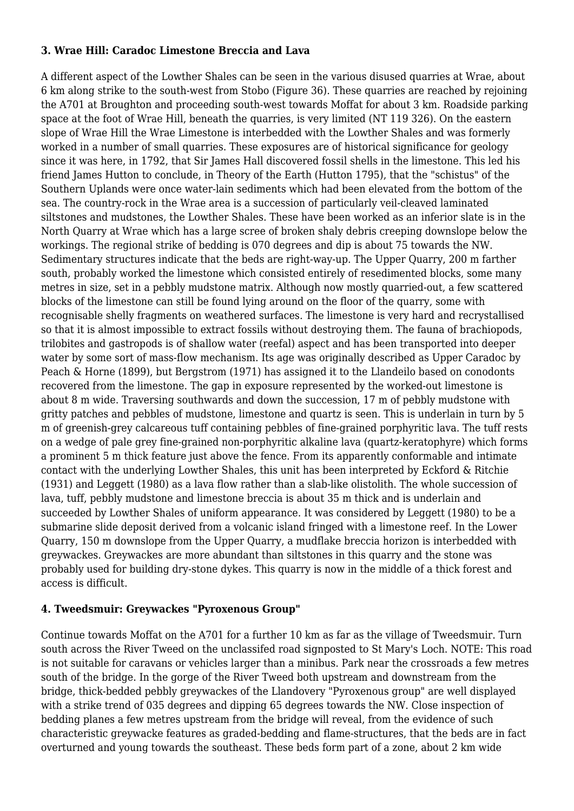#### **3. Wrae Hill: Caradoc Limestone Breccia and Lava**

A different aspect of the Lowther Shales can be seen in the various disused quarries at Wrae, about 6 km along strike to the south-west from Stobo (Figure 36). These quarries are reached by rejoining the A701 at Broughton and proceeding south-west towards Moffat for about 3 km. Roadside parking space at the foot of Wrae Hill, beneath the quarries, is very limited (NT 119 326). On the eastern slope of Wrae Hill the Wrae Limestone is interbedded with the Lowther Shales and was formerly worked in a number of small quarries. These exposures are of historical significance for geology since it was here, in 1792, that Sir James Hall discovered fossil shells in the limestone. This led his friend James Hutton to conclude, in Theory of the Earth (Hutton 1795), that the "schistus" of the Southern Uplands were once water-lain sediments which had been elevated from the bottom of the sea. The country-rock in the Wrae area is a succession of particularly veil-cleaved laminated siltstones and mudstones, the Lowther Shales. These have been worked as an inferior slate is in the North Quarry at Wrae which has a large scree of broken shaly debris creeping downslope below the workings. The regional strike of bedding is 070 degrees and dip is about 75 towards the NW. Sedimentary structures indicate that the beds are right-way-up. The Upper Quarry, 200 m farther south, probably worked the limestone which consisted entirely of resedimented blocks, some many metres in size, set in a pebbly mudstone matrix. Although now mostly quarried-out, a few scattered blocks of the limestone can still be found lying around on the floor of the quarry, some with recognisable shelly fragments on weathered surfaces. The limestone is very hard and recrystallised so that it is almost impossible to extract fossils without destroying them. The fauna of brachiopods, trilobites and gastropods is of shallow water (reefal) aspect and has been transported into deeper water by some sort of mass-flow mechanism. Its age was originally described as Upper Caradoc by Peach & Horne (1899), but Bergstrom (1971) has assigned it to the Llandeilo based on conodonts recovered from the limestone. The gap in exposure represented by the worked-out limestone is about 8 m wide. Traversing southwards and down the succession, 17 m of pebbly mudstone with gritty patches and pebbles of mudstone, limestone and quartz is seen. This is underlain in turn by 5 m of greenish-grey calcareous tuff containing pebbles of fine-grained porphyritic lava. The tuff rests on a wedge of pale grey fine-grained non-porphyritic alkaline lava (quartz-keratophyre) which forms a prominent 5 m thick feature just above the fence. From its apparently conformable and intimate contact with the underlying Lowther Shales, this unit has been interpreted by Eckford & Ritchie (1931) and Leggett (1980) as a lava flow rather than a slab-like olistolith. The whole succession of lava, tuff, pebbly mudstone and limestone breccia is about 35 m thick and is underlain and succeeded by Lowther Shales of uniform appearance. It was considered by Leggett (1980) to be a submarine slide deposit derived from a volcanic island fringed with a limestone reef. In the Lower Quarry, 150 m downslope from the Upper Quarry, a mudflake breccia horizon is interbedded with greywackes. Greywackes are more abundant than siltstones in this quarry and the stone was probably used for building dry-stone dykes. This quarry is now in the middle of a thick forest and access is difficult.

#### **4. Tweedsmuir: Greywackes "Pyroxenous Group"**

Continue towards Moffat on the A701 for a further 10 km as far as the village of Tweedsmuir. Turn south across the River Tweed on the unclassifed road signposted to St Mary's Loch. NOTE: This road is not suitable for caravans or vehicles larger than a minibus. Park near the crossroads a few metres south of the bridge. In the gorge of the River Tweed both upstream and downstream from the bridge, thick-bedded pebbly greywackes of the Llandovery "Pyroxenous group" are well displayed with a strike trend of 035 degrees and dipping 65 degrees towards the NW. Close inspection of bedding planes a few metres upstream from the bridge will reveal, from the evidence of such characteristic greywacke features as graded-bedding and flame-structures, that the beds are in fact overturned and young towards the southeast. These beds form part of a zone, about 2 km wide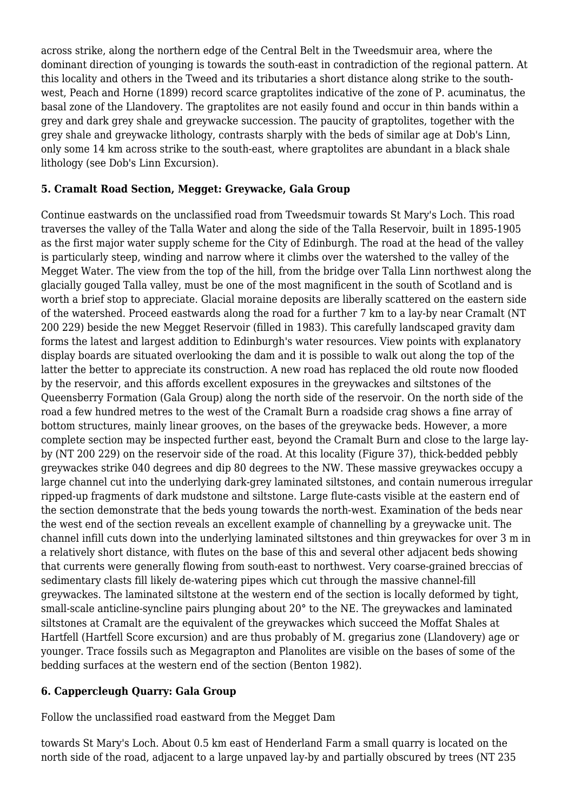across strike, along the northern edge of the Central Belt in the Tweedsmuir area, where the dominant direction of younging is towards the south-east in contradiction of the regional pattern. At this locality and others in the Tweed and its tributaries a short distance along strike to the southwest, Peach and Horne (1899) record scarce graptolites indicative of the zone of P. acuminatus, the basal zone of the Llandovery. The graptolites are not easily found and occur in thin bands within a grey and dark grey shale and greywacke succession. The paucity of graptolites, together with the grey shale and greywacke lithology, contrasts sharply with the beds of similar age at Dob's Linn, only some 14 km across strike to the south-east, where graptolites are abundant in a black shale lithology (see Dob's Linn Excursion).

#### **5. Cramalt Road Section, Megget: Greywacke, Gala Group**

Continue eastwards on the unclassified road from Tweedsmuir towards St Mary's Loch. This road traverses the valley of the Talla Water and along the side of the Talla Reservoir, built in 1895-1905 as the first major water supply scheme for the City of Edinburgh. The road at the head of the valley is particularly steep, winding and narrow where it climbs over the watershed to the valley of the Megget Water. The view from the top of the hill, from the bridge over Talla Linn northwest along the glacially gouged Talla valley, must be one of the most magnificent in the south of Scotland and is worth a brief stop to appreciate. Glacial moraine deposits are liberally scattered on the eastern side of the watershed. Proceed eastwards along the road for a further 7 km to a lay-by near Cramalt (NT 200 229) beside the new Megget Reservoir (filled in 1983). This carefully landscaped gravity dam forms the latest and largest addition to Edinburgh's water resources. View points with explanatory display boards are situated overlooking the dam and it is possible to walk out along the top of the latter the better to appreciate its construction. A new road has replaced the old route now flooded by the reservoir, and this affords excellent exposures in the greywackes and siltstones of the Queensberry Formation (Gala Group) along the north side of the reservoir. On the north side of the road a few hundred metres to the west of the Cramalt Burn a roadside crag shows a fine array of bottom structures, mainly linear grooves, on the bases of the greywacke beds. However, a more complete section may be inspected further east, beyond the Cramalt Burn and close to the large layby (NT 200 229) on the reservoir side of the road. At this locality (Figure 37), thick-bedded pebbly greywackes strike 040 degrees and dip 80 degrees to the NW. These massive greywackes occupy a large channel cut into the underlying dark-grey laminated siltstones, and contain numerous irregular ripped-up fragments of dark mudstone and siltstone. Large flute-casts visible at the eastern end of the section demonstrate that the beds young towards the north-west. Examination of the beds near the west end of the section reveals an excellent example of channelling by a greywacke unit. The channel infill cuts down into the underlying laminated siltstones and thin greywackes for over 3 m in a relatively short distance, with flutes on the base of this and several other adjacent beds showing that currents were generally flowing from south-east to northwest. Very coarse-grained breccias of sedimentary clasts fill likely de-watering pipes which cut through the massive channel-fill greywackes. The laminated siltstone at the western end of the section is locally deformed by tight, small-scale anticline-syncline pairs plunging about 20° to the NE. The greywackes and laminated siltstones at Cramalt are the equivalent of the greywackes which succeed the Moffat Shales at Hartfell (Hartfell Score excursion) and are thus probably of M. gregarius zone (Llandovery) age or younger. Trace fossils such as Megagrapton and Planolites are visible on the bases of some of the bedding surfaces at the western end of the section (Benton 1982).

#### **6. Cappercleugh Quarry: Gala Group**

Follow the unclassified road eastward from the Megget Dam

towards St Mary's Loch. About 0.5 km east of Henderland Farm a small quarry is located on the north side of the road, adjacent to a large unpaved lay-by and partially obscured by trees (NT 235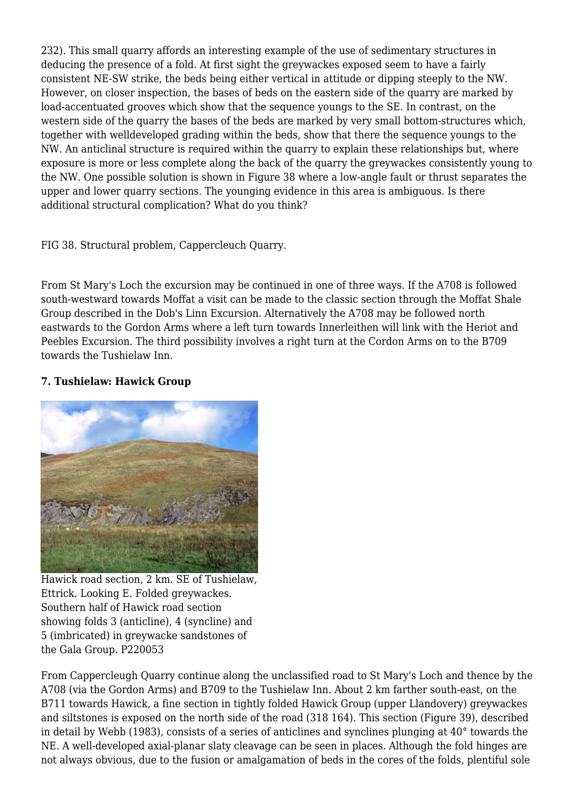232). This small quarry affords an interesting example of the use of sedimentary structures in deducing the presence of a fold. At first sight the greywackes exposed seem to have a fairly consistent NE-SW strike, the beds being either vertical in attitude or dipping steeply to the NW. However, on closer inspection, the bases of beds on the eastern side of the quarry are marked by load-accentuated grooves which show that the sequence youngs to the SE. In contrast, on the western side of the quarry the bases of the beds are marked by very small bottom-structures which, together with welldeveloped grading within the beds, show that there the sequence youngs to the NW. An anticlinal structure is required within the quarry to explain these relationships but, where exposure is more or less complete along the back of the quarry the greywackes consistently young to the NW. One possible solution is shown in Figure 38 where a low-angle fault or thrust separates the upper and lower quarry sections. The younging evidence in this area is ambiguous. Is there additional structural complication? What do you think?

FIG 38. Structural problem, Cappercleuch Quarry.

From St Mary's Loch the excursion may be continued in one of three ways. If the A708 is followed south-westward towards Moffat a visit can be made to the classic section through the Moffat Shale Group described in the Dob's Linn Excursion. Alternatively the A708 may be followed north eastwards to the Gordon Arms where a left turn towards Innerleithen will link with the Heriot and Peebles Excursion. The third possibility involves a right turn at the Cordon Arms on to the B709 towards the Tushielaw Inn.

#### **7. Tushielaw: Hawick Group**



Hawick road section, 2 km. SE of Tushielaw, Ettrick. Looking E. Folded greywackes. Southern half of Hawick road section showing folds 3 (anticline), 4 (syncline) and 5 (imbricated) in greywacke sandstones of the Gala Group. P220053

From Cappercleugh Quarry continue along the unclassified road to St Mary's Loch and thence by the A708 (via the Gordon Arms) and B709 to the Tushielaw Inn. About 2 km farther south-east, on the B711 towards Hawick, a fine section in tightly folded Hawick Group (upper Llandovery) greywackes and siltstones is exposed on the north side of the road (318 164). This section (Figure 39), described in detail by Webb (1983), consists of a series of anticlines and synclines plunging at 40° towards the NE. A well-developed axial-planar slaty cleavage can be seen in places. Although the fold hinges are not always obvious, due to the fusion or amalgamation of beds in the cores of the folds, plentiful sole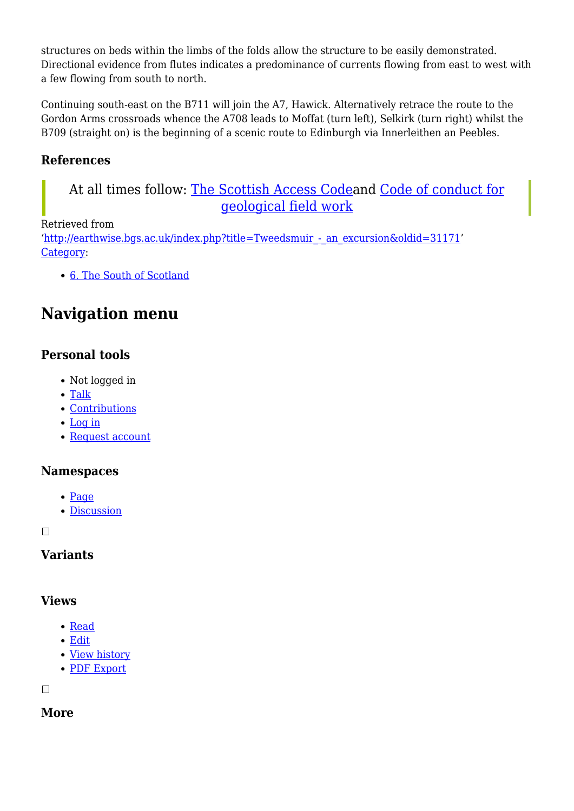structures on beds within the limbs of the folds allow the structure to be easily demonstrated. Directional evidence from flutes indicates a predominance of currents flowing from east to west with a few flowing from south to north.

Continuing south-east on the B711 will join the A7, Hawick. Alternatively retrace the route to the Gordon Arms crossroads whence the A708 leads to Moffat (turn left), Selkirk (turn right) whilst the B709 (straight on) is the beginning of a scenic route to Edinburgh via Innerleithen an Peebles.

# **References**

# At all times follow: [The Scottish Access Codea](http://www.outdooraccess-scotland.com/the-act-and-the-code/introduction)nd [Code of conduct for](https://www.scottishgeology.com/where-to-go/geological-fieldwork-code/) [geological field work](https://www.scottishgeology.com/where-to-go/geological-fieldwork-code/)

#### Retrieved from

'[http://earthwise.bgs.ac.uk/index.php?title=Tweedsmuir\\_-\\_an\\_excursion&oldid=31171'](http://earthwise.bgs.ac.uk/index.php?title=Tweedsmuir_-_an_excursion&oldid=31171) [Category](http://earthwise.bgs.ac.uk/index.php/Special:Categories):

[6. The South of Scotland](http://earthwise.bgs.ac.uk/index.php/Category:6._The_South_of_Scotland)

# **Navigation menu**

# **Personal tools**

- Not logged in
- [Talk](http://earthwise.bgs.ac.uk/index.php/Special:MyTalk)
- [Contributions](http://earthwise.bgs.ac.uk/index.php/Special:MyContributions)
- [Log in](http://earthwise.bgs.ac.uk/index.php?title=Special:UserLogin&returnto=Tweedsmuir+-+an+excursion&returntoquery=action%3Dmpdf)
- [Request account](http://earthwise.bgs.ac.uk/index.php/Special:RequestAccount)

#### **Namespaces**

- [Page](http://earthwise.bgs.ac.uk/index.php/Tweedsmuir_-_an_excursion)
- [Discussion](http://earthwise.bgs.ac.uk/index.php?title=Talk:Tweedsmuir_-_an_excursion&action=edit&redlink=1)

 $\Box$ 

## **Variants**

#### **Views**

- [Read](http://earthwise.bgs.ac.uk/index.php/Tweedsmuir_-_an_excursion)
- [Edit](http://earthwise.bgs.ac.uk/index.php?title=Tweedsmuir_-_an_excursion&action=edit)
- [View history](http://earthwise.bgs.ac.uk/index.php?title=Tweedsmuir_-_an_excursion&action=history)
- [PDF Export](http://earthwise.bgs.ac.uk/index.php?title=Tweedsmuir_-_an_excursion&action=mpdf)

 $\Box$ 

## **More**